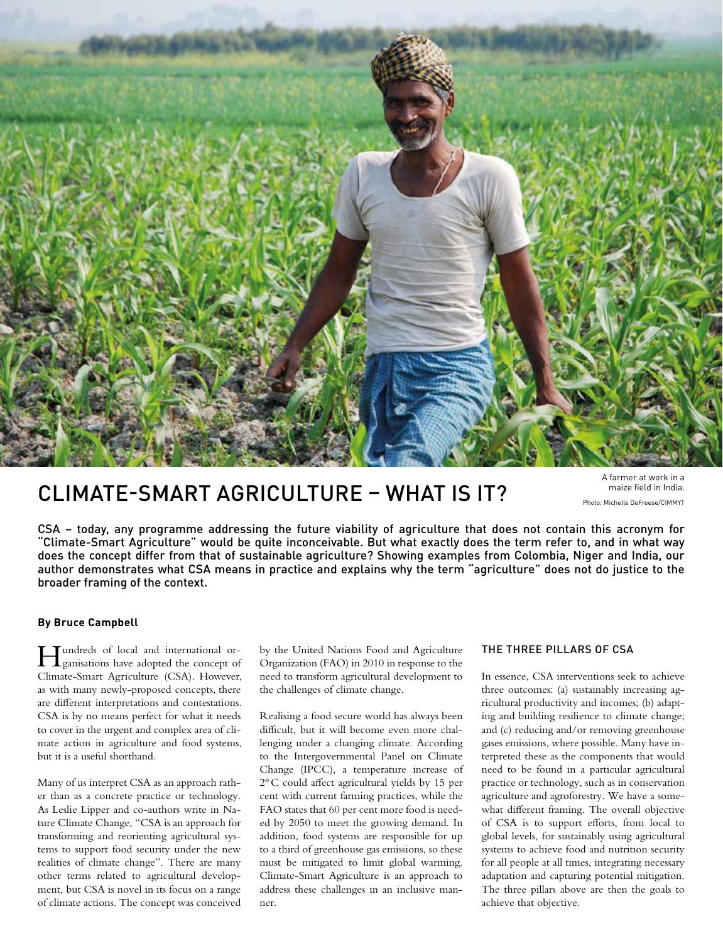

# CLIMATE-SMART AGRICULTURE – WHAT IS IT?

A farmer at work in a maize field in India. Photo: Michelle DeFreese/CIMMYT

CSA – today, any programme addressing the future viability of agriculture that does not contain this acronym for "Climate-Smart Agriculture" would be quite inconceivable. But what exactly does the term refer to, and in what way does the concept differ from that of sustainable agriculture? Showing examples from Colombia, Niger and India, our author demonstrates what CSA means in practice and explains why the term "agriculture" does not do justice to the broader framing of the context.

### **By Bruce Campbell**

Hundreds of local and international or-ganisations have adopted the concept of Climate-Smart Agriculture (CSA). However, as with many newly-proposed concepts, there are different interpretations and contestations. CSA is by no means perfect for what it needs to cover in the urgent and complex area of climate action in agriculture and food systems, but it is a useful shorthand.

Many of us interpret CSA as an approach rather than as a concrete practice or technology. As Leslie Lipper and co-authors write in Nature Climate Change, "CSA is an approach for transforming and reorienting agricultural systems to support food security under the new realities of climate change". There are many other terms related to agricultural development, but CSA is novel in its focus on a range of climate actions. The concept was conceived by the United Nations Food and Agriculture Organization (FAO) in 2010 in response to the need to transform agricultural development to the challenges of climate change.

Realising a food secure world has always been difficult, but it will become even more challenging under a changing climate. According to the Intergovernmental Panel on Climate Change (IPCC), a temperature increase of 2°C could affect agricultural yields by 15 per cent with current farming practices, while the FAO states that 60 per cent more food is needed by 2050 to meet the growing demand. In addition, food systems are responsible for up to a third of greenhouse gas emissions, so these must be mitigated to limit global warming. Climate-Smart Agriculture is an approach to address these challenges in an inclusive manner.

## THE THREE PILLARS OF CSA

In essence, CSA interventions seek to achieve three outcomes: (a) sustainably increasing agricultural productivity and incomes; (b) adapting and building resilience to climate change; and (c) reducing and/or removing greenhouse gases emissions, where possible. Many have interpreted these as the components that would need to be found in a particular agricultural practice or technology, such as in conservation agriculture and agroforestry. We have a somewhat different framing. The overall objective of CSA is to support efforts, from local to global levels, for sustainably using agricultural systems to achieve food and nutrition security for all people at all times, integrating necessary adaptation and capturing potential mitigation. The three pillars above are then the goals to achieve that objective.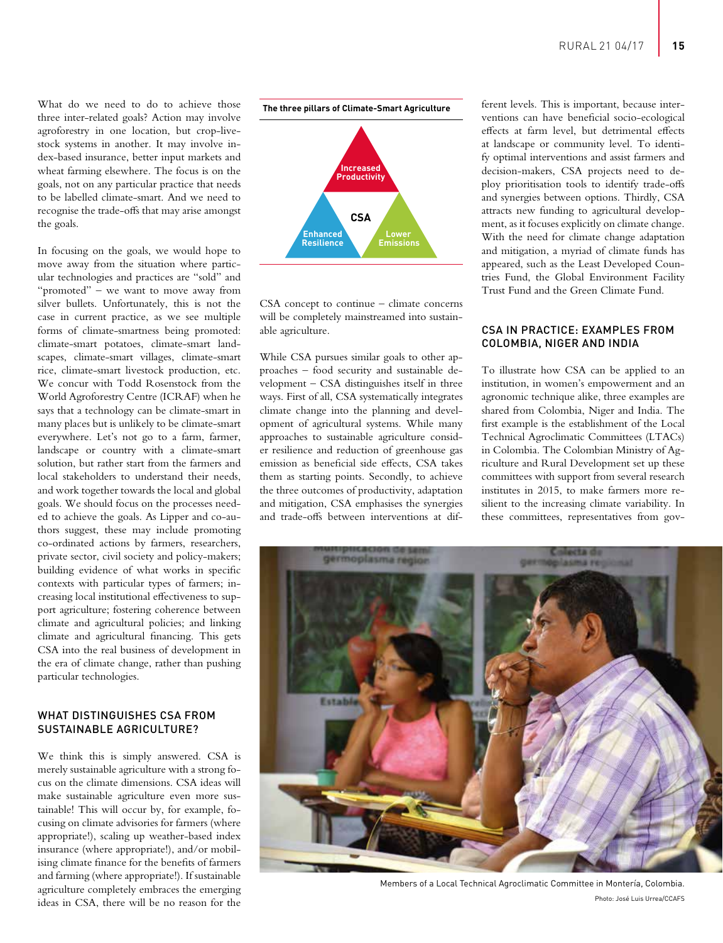What do we need to do to achieve those three inter-related goals? Action may involve agroforestry in one location, but crop-livestock systems in another. It may involve index-based insurance, better input markets and wheat farming elsewhere. The focus is on the goals, not on any particular practice that needs to be labelled climate-smart. And we need to recognise the trade-offs that may arise amongst the goals.

In focusing on the goals, we would hope to move away from the situation where particular technologies and practices are "sold" and "promoted" – we want to move away from silver bullets. Unfortunately, this is not the case in current practice, as we see multiple forms of climate-smartness being promoted: climate-smart potatoes, climate-smart landscapes, climate-smart villages, climate-smart rice, climate-smart livestock production, etc. We concur with Todd Rosenstock from the World Agroforestry Centre (ICRAF) when he says that a technology can be climate-smart in many places but is unlikely to be climate-smart everywhere. Let's not go to a farm, farmer, landscape or country with a climate-smart solution, but rather start from the farmers and local stakeholders to understand their needs, and work together towards the local and global goals. We should focus on the processes needed to achieve the goals. As Lipper and co-authors suggest, these may include promoting co-ordinated actions by farmers, researchers, private sector, civil society and policy-makers; building evidence of what works in specific contexts with particular types of farmers; increasing local institutional effectiveness to support agriculture; fostering coherence between climate and agricultural policies; and linking climate and agricultural financing. This gets CSA into the real business of development in the era of climate change, rather than pushing particular technologies.

# WHAT DISTINGUISHES CSA FROM SUSTAINABLE AGRICULTURE?

We think this is simply answered. CSA is merely sustainable agriculture with a strong focus on the climate dimensions. CSA ideas will make sustainable agriculture even more sustainable! This will occur by, for example, focusing on climate advisories for farmers (where appropriate!), scaling up weather-based index insurance (where appropriate!), and/or mobilising climate finance for the benefits of farmers and farming (where appropriate!). If sustainable agriculture completely embraces the emerging ideas in CSA, there will be no reason for the



CSA concept to continue – climate concerns will be completely mainstreamed into sustainable agriculture.

While CSA pursues similar goals to other approaches – food security and sustainable development – CSA distinguishes itself in three ways. First of all, CSA systematically integrates climate change into the planning and development of agricultural systems. While many approaches to sustainable agriculture consider resilience and reduction of greenhouse gas emission as beneficial side effects, CSA takes them as starting points. Secondly, to achieve the three outcomes of productivity, adaptation and mitigation, CSA emphasises the synergies and trade-offs between interventions at different levels. This is important, because interventions can have beneficial socio-ecological effects at farm level, but detrimental effects at landscape or community level. To identify optimal interventions and assist farmers and decision-makers, CSA projects need to deploy prioritisation tools to identify trade-offs and synergies between options. Thirdly, CSA attracts new funding to agricultural development, as it focuses explicitly on climate change. With the need for climate change adaptation and mitigation, a myriad of climate funds has appeared, such as the Least Developed Countries Fund, the Global Environment Facility Trust Fund and the Green Climate Fund.

### CSA IN PRACTICE: EXAMPLES FROM COLOMBIA, NIGER AND INDIA

To illustrate how CSA can be applied to an institution, in women's empowerment and an agronomic technique alike, three examples are shared from Colombia, Niger and India. The first example is the establishment of the Local Technical Agroclimatic Committees (LTACs) in Colombia. The Colombian Ministry of Agriculture and Rural Development set up these committees with support from several research institutes in 2015, to make farmers more resilient to the increasing climate variability. In these committees, representatives from gov-



Members of a Local Technical Agroclimatic Committee in Montería, Colombia. Photo: José Luis Urrea/CCAFS